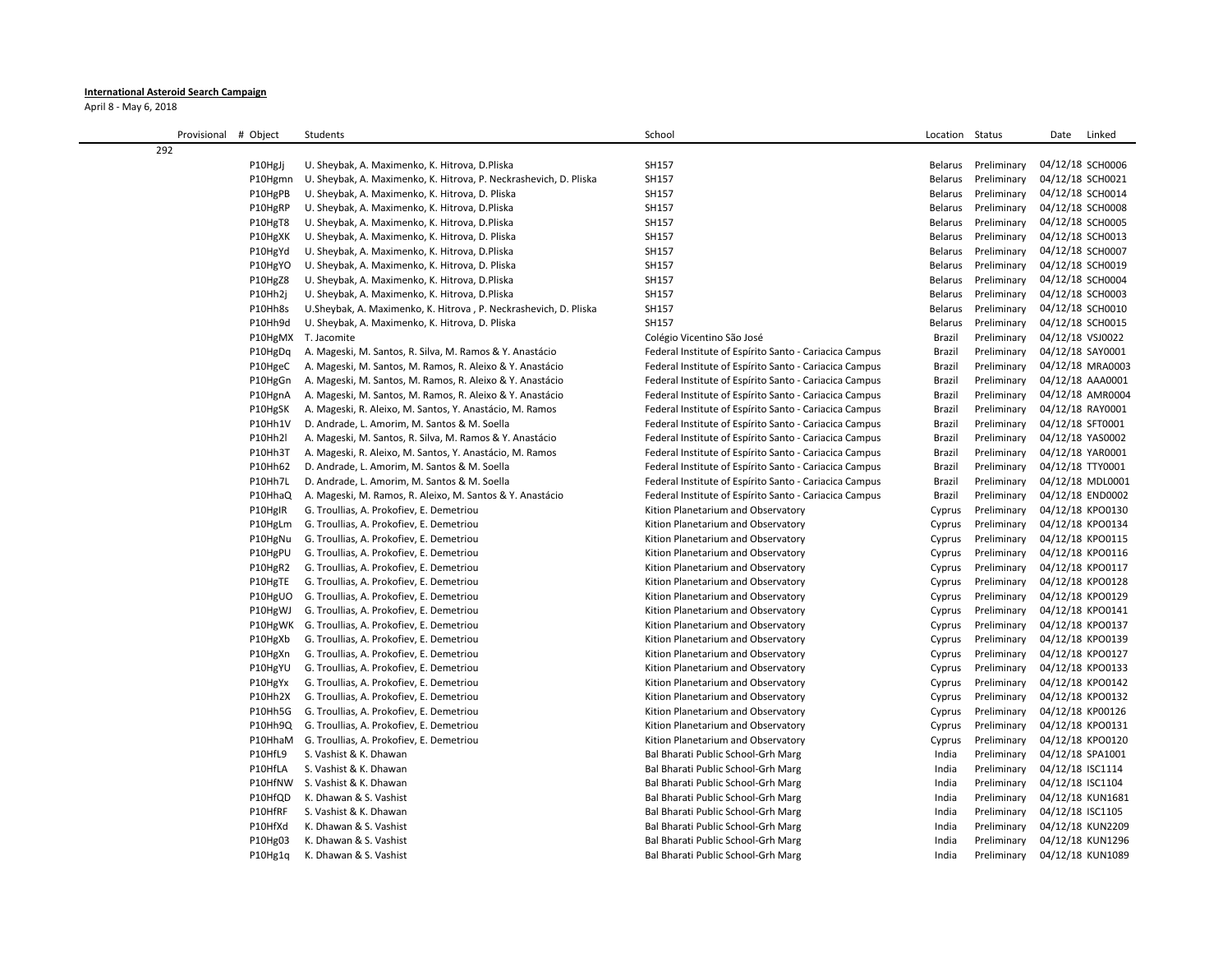## **International Asteroid Search Campaign**

April 8 - May 6, 2018

| Provisional # Object | Students                                                          | School                                                 | Location Status |             | Linked<br>Date   |
|----------------------|-------------------------------------------------------------------|--------------------------------------------------------|-----------------|-------------|------------------|
| 292                  |                                                                   |                                                        |                 |             |                  |
| P10HgJj              | U. Sheybak, A. Maximenko, K. Hitrova, D. Pliska                   | SH157                                                  | Belarus         | Preliminary | 04/12/18 SCH0006 |
| P10Hgmn              | U. Sheybak, A. Maximenko, K. Hitrova, P. Neckrashevich, D. Pliska | SH157                                                  | Belarus         | Preliminary | 04/12/18 SCH0021 |
| P10HgPB              | U. Sheybak, A. Maximenko, K. Hitrova, D. Pliska                   | SH157                                                  | Belarus         | Preliminary | 04/12/18 SCH0014 |
| P10HgRP              | U. Sheybak, A. Maximenko, K. Hitrova, D.Pliska                    | SH157                                                  | <b>Belarus</b>  | Preliminary | 04/12/18 SCH0008 |
| P10HgT8              | U. Sheybak, A. Maximenko, K. Hitrova, D.Pliska                    | SH157                                                  | Belarus         | Preliminary | 04/12/18 SCH0005 |
| P10HgXK              | U. Sheybak, A. Maximenko, K. Hitrova, D. Pliska                   | SH157                                                  | <b>Belarus</b>  | Preliminary | 04/12/18 SCH0013 |
| P10HgYd              | U. Sheybak, A. Maximenko, K. Hitrova, D.Pliska                    | SH157                                                  | <b>Belarus</b>  | Preliminary | 04/12/18 SCH0007 |
| P10HgYO              | U. Sheybak, A. Maximenko, K. Hitrova, D. Pliska                   | SH157                                                  | <b>Belarus</b>  | Preliminary | 04/12/18 SCH0019 |
| P10HgZ8              | U. Sheybak, A. Maximenko, K. Hitrova, D.Pliska                    | SH157                                                  | <b>Belarus</b>  | Preliminary | 04/12/18 SCH0004 |
| P10Hh2j              | U. Sheybak, A. Maximenko, K. Hitrova, D.Pliska                    | SH157                                                  | <b>Belarus</b>  | Preliminary | 04/12/18 SCH0003 |
| P10Hh8s              | U.Sheybak, A. Maximenko, K. Hitrova, P. Neckrashevich, D. Pliska  | SH157                                                  | <b>Belarus</b>  | Preliminary | 04/12/18 SCH0010 |
| P10Hh9d              | U. Sheybak, A. Maximenko, K. Hitrova, D. Pliska                   | SH157                                                  | <b>Belarus</b>  | Preliminary | 04/12/18 SCH0015 |
|                      | P10HgMX T. Jacomite                                               | Colégio Vicentino São José                             | Brazil          | Preliminary | 04/12/18 VSJ0022 |
| P10HgDq              | A. Mageski, M. Santos, R. Silva, M. Ramos & Y. Anastácio          | Federal Institute of Espírito Santo - Cariacica Campus | <b>Brazil</b>   | Preliminary | 04/12/18 SAY0001 |
| P10HgeC              | A. Mageski, M. Santos, M. Ramos, R. Aleixo & Y. Anastácio         | Federal Institute of Espírito Santo - Cariacica Campus | Brazil          | Preliminary | 04/12/18 MRA0003 |
| P10HgGn              | A. Mageski, M. Santos, M. Ramos, R. Aleixo & Y. Anastácio         | Federal Institute of Espírito Santo - Cariacica Campus | <b>Brazil</b>   | Preliminary | 04/12/18 AAA0001 |
| P10HgnA              | A. Mageski, M. Santos, M. Ramos, R. Aleixo & Y. Anastácio         | Federal Institute of Espírito Santo - Cariacica Campus | Brazil          | Preliminary | 04/12/18 AMR0004 |
| P10HgSK              | A. Mageski, R. Aleixo, M. Santos, Y. Anastácio, M. Ramos          | Federal Institute of Espírito Santo - Cariacica Campus | Brazil          | Preliminary | 04/12/18 RAY0001 |
| P10Hh1V              | D. Andrade, L. Amorim, M. Santos & M. Soella                      | Federal Institute of Espírito Santo - Cariacica Campus | Brazil          | Preliminary | 04/12/18 SFT0001 |
| P10Hh2l              | A. Mageski, M. Santos, R. Silva, M. Ramos & Y. Anastácio          | Federal Institute of Espírito Santo - Cariacica Campus | Brazil          | Preliminary | 04/12/18 YAS0002 |
| P10Hh3T              | A. Mageski, R. Aleixo, M. Santos, Y. Anastácio, M. Ramos          | Federal Institute of Espírito Santo - Cariacica Campus | Brazil          | Preliminary | 04/12/18 YAR0001 |
| P10Hh62              | D. Andrade, L. Amorim, M. Santos & M. Soella                      | Federal Institute of Espírito Santo - Cariacica Campus | Brazil          | Preliminary | 04/12/18 TTY0001 |
| P10Hh7L              | D. Andrade, L. Amorim, M. Santos & M. Soella                      | Federal Institute of Espírito Santo - Cariacica Campus | Brazil          | Preliminary | 04/12/18 MDL0001 |
| P10HhaQ              | A. Mageski, M. Ramos, R. Aleixo, M. Santos & Y. Anastácio         | Federal Institute of Espírito Santo - Cariacica Campus | Brazil          | Preliminary | 04/12/18 END0002 |
| P10HgIR              | G. Troullias, A. Prokofiev, E. Demetriou                          | Kition Planetarium and Observatory                     | Cyprus          | Preliminary | 04/12/18 KPO0130 |
| P10HgLm              | G. Troullias, A. Prokofiev, E. Demetriou                          | Kition Planetarium and Observatory                     | Cyprus          | Preliminary | 04/12/18 KPO0134 |
| P10HgNu              | G. Troullias, A. Prokofiev, E. Demetriou                          | Kition Planetarium and Observatory                     | Cyprus          | Preliminary | 04/12/18 KPO0115 |
| P10HgPU              | G. Troullias, A. Prokofiev, E. Demetriou                          | Kition Planetarium and Observatory                     | Cyprus          | Preliminary | 04/12/18 KPO0116 |
| P10HgR2              | G. Troullias, A. Prokofiev, E. Demetriou                          | Kition Planetarium and Observatory                     | Cyprus          | Preliminary | 04/12/18 KPO0117 |
| P10HgTE              | G. Troullias, A. Prokofiev, E. Demetriou                          | Kition Planetarium and Observatory                     | Cyprus          | Preliminary | 04/12/18 KPO0128 |
| P10HgUO              | G. Troullias, A. Prokofiev, E. Demetriou                          | Kition Planetarium and Observatory                     | Cyprus          | Preliminary | 04/12/18 KPO0129 |
| P10HgWJ              | G. Troullias, A. Prokofiev, E. Demetriou                          | Kition Planetarium and Observatory                     | Cyprus          | Preliminary | 04/12/18 KPO0141 |
|                      | P10HgWK G. Troullias, A. Prokofiev, E. Demetriou                  | Kition Planetarium and Observatory                     | Cyprus          | Preliminary | 04/12/18 KPO0137 |
| P10HgXb              | G. Troullias, A. Prokofiev, E. Demetriou                          | Kition Planetarium and Observatory                     | Cyprus          | Preliminary | 04/12/18 KPO0139 |
| P10HgXn              | G. Troullias, A. Prokofiev, E. Demetriou                          | Kition Planetarium and Observatory                     | Cyprus          | Preliminary | 04/12/18 KPO0127 |
| P10HgYU              | G. Troullias, A. Prokofiev, E. Demetriou                          | Kition Planetarium and Observatory                     | Cyprus          | Preliminary | 04/12/18 KPO0133 |
| P10HgYx              | G. Troullias, A. Prokofiev, E. Demetriou                          | Kition Planetarium and Observatory                     | Cyprus          | Preliminary | 04/12/18 KPO0142 |
| P10Hh2X              | G. Troullias, A. Prokofiev, E. Demetriou                          | Kition Planetarium and Observatory                     | Cyprus          | Preliminary | 04/12/18 KPO0132 |
| P10Hh5G              | G. Troullias, A. Prokofiev, E. Demetriou                          | Kition Planetarium and Observatory                     | Cyprus          | Preliminary | 04/12/18 KP00126 |
| P10Hh9Q              | G. Troullias, A. Prokofiev, E. Demetriou                          | Kition Planetarium and Observatory                     | Cyprus          | Preliminary | 04/12/18 KPO0131 |
| P10HhaM              | G. Troullias, A. Prokofiev, E. Demetriou                          | Kition Planetarium and Observatory                     | Cyprus          | Preliminary | 04/12/18 KPO0120 |
| P10HfL9              | S. Vashist & K. Dhawan                                            | Bal Bharati Public School-Grh Marg                     | India           | Preliminary | 04/12/18 SPA1001 |
| P10HfLA              | S. Vashist & K. Dhawan                                            | Bal Bharati Public School-Grh Marg                     | India           | Preliminary | 04/12/18 ISC1114 |
| P10HfNW              | S. Vashist & K. Dhawan                                            | Bal Bharati Public School-Grh Marg                     | India           | Preliminary | 04/12/18 ISC1104 |
| P10HfQD              | K. Dhawan & S. Vashist                                            | Bal Bharati Public School-Grh Marg                     | India           | Preliminary | 04/12/18 KUN1681 |
| P10HfRF              | S. Vashist & K. Dhawan                                            | Bal Bharati Public School-Grh Marg                     | India           | Preliminary | 04/12/18 ISC1105 |
| P10HfXd              | K. Dhawan & S. Vashist                                            | Bal Bharati Public School-Grh Marg                     | India           | Preliminary | 04/12/18 KUN2209 |
| P10Hg03              | K. Dhawan & S. Vashist                                            | Bal Bharati Public School-Grh Marg                     | India           | Preliminary | 04/12/18 KUN1296 |
| P10Hg1q              | K. Dhawan & S. Vashist                                            | Bal Bharati Public School-Grh Marg                     | India           | Preliminary | 04/12/18 KUN1089 |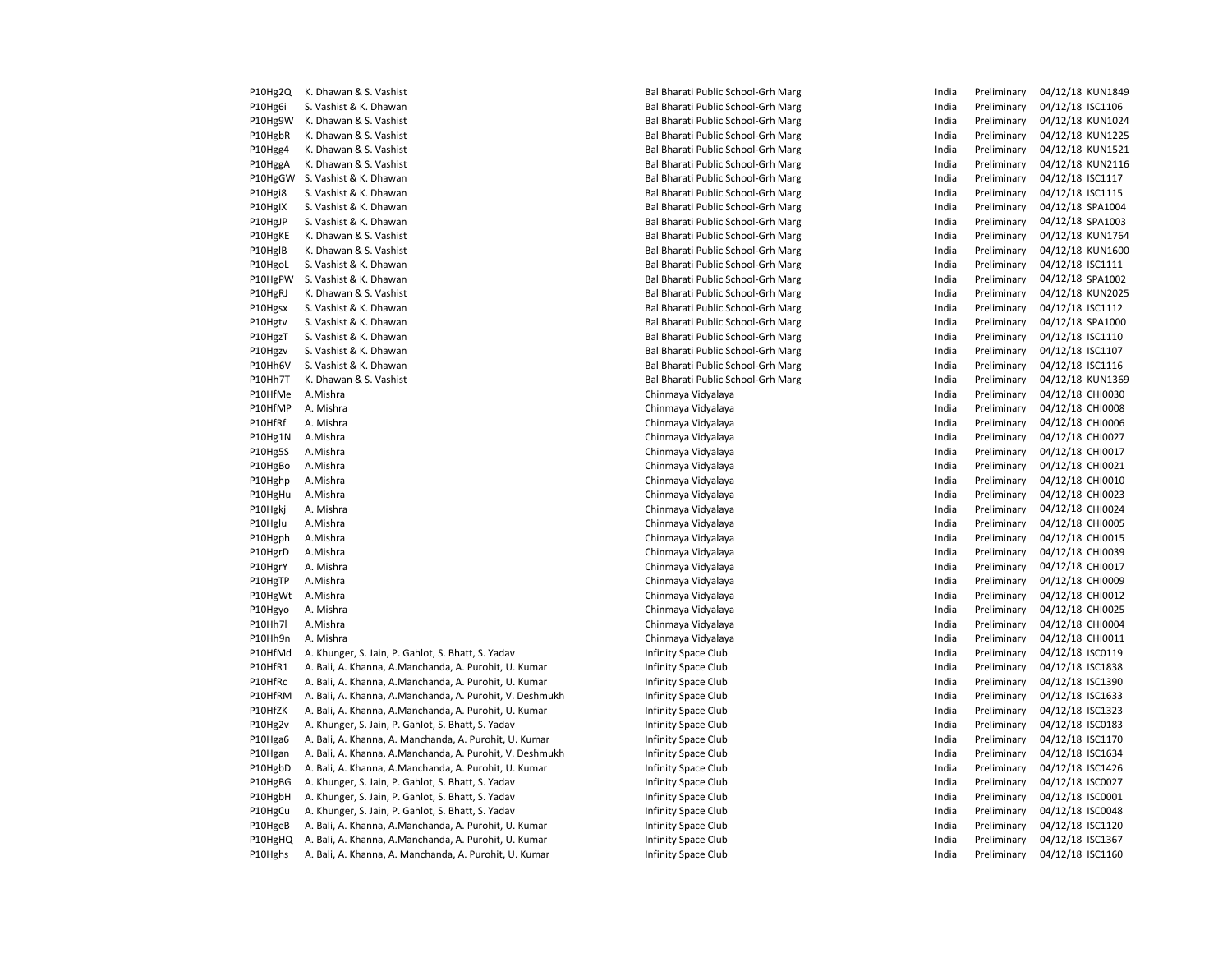| P10Hg2Q            | K. Dhawan & S. Vashist                                   | Bal Bharati Public School-Grh Marg | India | Preliminary | 04/12/18 KUN184  |
|--------------------|----------------------------------------------------------|------------------------------------|-------|-------------|------------------|
| P10Hg6i            | S. Vashist & K. Dhawan                                   | Bal Bharati Public School-Grh Marg | India | Preliminary | 04/12/18 ISC1106 |
| P10Hg9W            | K. Dhawan & S. Vashist                                   | Bal Bharati Public School-Grh Marg | India | Preliminary | 04/12/18 KUN102  |
| P10HgbR            | K. Dhawan & S. Vashist                                   | Bal Bharati Public School-Grh Marg | India | Preliminary | 04/12/18 KUN122  |
| P10Hgg4            | K. Dhawan & S. Vashist                                   | Bal Bharati Public School-Grh Marg | India | Preliminary | 04/12/18 KUN152  |
| P10HggA            | K. Dhawan & S. Vashist                                   | Bal Bharati Public School-Grh Marg | India | Preliminary | 04/12/18 KUN211  |
| P10HgGW            | S. Vashist & K. Dhawan                                   | Bal Bharati Public School-Grh Marg | India | Preliminary | 04/12/18 ISC1117 |
| P10Hgi8            | S. Vashist & K. Dhawan                                   | Bal Bharati Public School-Grh Marg | India | Preliminary | 04/12/18 ISC1115 |
| P10HgIX            | S. Vashist & K. Dhawan                                   | Bal Bharati Public School-Grh Marg | India | Preliminary | 04/12/18 SPA1004 |
| P10HgJP            | S. Vashist & K. Dhawan                                   | Bal Bharati Public School-Grh Marg | India | Preliminary | 04/12/18 SPA1003 |
| P10HgKE            | K. Dhawan & S. Vashist                                   | Bal Bharati Public School-Grh Marg | India | Preliminary | 04/12/18 KUN176  |
| P10HgIB            | K. Dhawan & S. Vashist                                   | Bal Bharati Public School-Grh Marg | India | Preliminary | 04/12/18 KUN160  |
| P10HgoL            | S. Vashist & K. Dhawan                                   | Bal Bharati Public School-Grh Marg | India | Preliminary | 04/12/18 ISC1111 |
| P10HgPW            | S. Vashist & K. Dhawan                                   | Bal Bharati Public School-Grh Marg | India | Preliminary | 04/12/18 SPA1002 |
| P10HgRJ            | K. Dhawan & S. Vashist                                   | Bal Bharati Public School-Grh Marg | India | Preliminary | 04/12/18 KUN202  |
| P10Hgsx            | S. Vashist & K. Dhawan                                   | Bal Bharati Public School-Grh Marg | India | Preliminary | 04/12/18 ISC1112 |
| P10Hgtv            | S. Vashist & K. Dhawan                                   | Bal Bharati Public School-Grh Marg | India | Preliminary | 04/12/18 SPA1000 |
| P10HgzT            | S. Vashist & K. Dhawan                                   | Bal Bharati Public School-Grh Marg | India | Preliminary | 04/12/18 ISC1110 |
| P10Hgzv            | S. Vashist & K. Dhawan                                   | Bal Bharati Public School-Grh Marg | India | Preliminary | 04/12/18 ISC1107 |
| P10Hh6V            | S. Vashist & K. Dhawan                                   | Bal Bharati Public School-Grh Marg | India | Preliminary | 04/12/18 ISC1116 |
| P10Hh7T            | K. Dhawan & S. Vashist                                   | Bal Bharati Public School-Grh Marg | India | Preliminary | 04/12/18 KUN136  |
| P10HfMe            | A.Mishra                                                 | Chinmaya Vidyalaya                 | India | Preliminary | 04/12/18 CHI0030 |
| P10HfMP            | A. Mishra                                                | Chinmaya Vidyalaya                 | India | Preliminary | 04/12/18 CHI0008 |
| P10HfRf            | A. Mishra                                                | Chinmaya Vidyalaya                 | India | Preliminary | 04/12/18 CHI0006 |
| P10Hg1N            | A.Mishra                                                 | Chinmaya Vidyalaya                 | India | Preliminary | 04/12/18 CHI0027 |
| P10Hg5S            | A.Mishra                                                 | Chinmaya Vidyalaya                 | India | Preliminary | 04/12/18 CHI0017 |
| P10HgBo            | A.Mishra                                                 | Chinmaya Vidyalaya                 | India | Preliminary | 04/12/18 CHI0021 |
| P10Hghp            | A.Mishra                                                 | Chinmaya Vidyalaya                 | India | Preliminary | 04/12/18 CHI0010 |
| P10HgHu            | A.Mishra                                                 | Chinmaya Vidyalaya                 | India | Preliminary | 04/12/18 CHI0023 |
| P10Hgkj            | A. Mishra                                                | Chinmaya Vidyalaya                 | India | Preliminary | 04/12/18 CHI0024 |
| P10Hglu            | A.Mishra                                                 | Chinmaya Vidyalaya                 | India | Preliminary | 04/12/18 CHI0005 |
| P10Hgph            | A.Mishra                                                 | Chinmaya Vidyalaya                 | India | Preliminary | 04/12/18 CHI0015 |
| P10HgrD            | A.Mishra                                                 | Chinmaya Vidyalaya                 | India | Preliminary | 04/12/18 CHI0039 |
| P10HgrY            | A. Mishra                                                | Chinmaya Vidyalaya                 | India | Preliminary | 04/12/18 CHI0017 |
| P10HgTP            | A.Mishra                                                 | Chinmaya Vidyalaya                 | India | Preliminary | 04/12/18 CHI0009 |
| P10HgWt            | A.Mishra                                                 | Chinmaya Vidyalaya                 | India | Preliminary | 04/12/18 CHI0012 |
| P10Hgyo            | A. Mishra                                                | Chinmaya Vidyalaya                 | India | Preliminary | 04/12/18 CHI0025 |
| P10Hh7l            | A.Mishra                                                 | Chinmaya Vidyalaya                 | India | Preliminary | 04/12/18 CHI0004 |
| P10Hh9n            | A. Mishra                                                | Chinmaya Vidyalaya                 | India | Preliminary | 04/12/18 CHI0011 |
| P10HfMd            | A. Khunger, S. Jain, P. Gahlot, S. Bhatt, S. Yadav       | Infinity Space Club                | India | Preliminary | 04/12/18 ISC0119 |
| P10HfR1            | A. Bali, A. Khanna, A.Manchanda, A. Purohit, U. Kumar    | Infinity Space Club                | India | Preliminary | 04/12/18 ISC1838 |
|                    |                                                          |                                    | India |             |                  |
| P10HfRc<br>P10HfRM | A. Bali, A. Khanna, A.Manchanda, A. Purohit, U. Kumar    | Infinity Space Club                |       | Preliminary | 04/12/18 ISC1390 |
|                    | A. Bali, A. Khanna, A.Manchanda, A. Purohit, V. Deshmukh | Infinity Space Club                | India | Preliminary | 04/12/18 ISC1633 |
| P10HfZK            | A. Bali, A. Khanna, A.Manchanda, A. Purohit, U. Kumar    | Infinity Space Club                | India | Preliminary | 04/12/18 ISC1323 |
| P10Hg2v            | A. Khunger, S. Jain, P. Gahlot, S. Bhatt, S. Yadav       | Infinity Space Club                | India | Preliminary | 04/12/18 ISC0183 |
| P10Hga6            | A. Bali, A. Khanna, A. Manchanda, A. Purohit, U. Kumar   | Infinity Space Club                | India | Preliminary | 04/12/18 ISC1170 |
| P10Hgan            | A. Bali, A. Khanna, A.Manchanda, A. Purohit, V. Deshmukh | Infinity Space Club                | India | Preliminary | 04/12/18 ISC1634 |
| P10HgbD            | A. Bali, A. Khanna, A.Manchanda, A. Purohit, U. Kumar    | Infinity Space Club                | India | Preliminary | 04/12/18 ISC1426 |
| P10HgBG            | A. Khunger, S. Jain, P. Gahlot, S. Bhatt, S. Yadav       | Infinity Space Club                | India | Preliminary | 04/12/18 ISC0027 |
| P10HgbH            | A. Khunger, S. Jain, P. Gahlot, S. Bhatt, S. Yadav       | Infinity Space Club                | India | Preliminary | 04/12/18 ISC0001 |
| P10HgCu            | A. Khunger, S. Jain, P. Gahlot, S. Bhatt, S. Yadav       | Infinity Space Club                | India | Preliminary | 04/12/18 ISC0048 |
| P10HgeB            | A. Bali, A. Khanna, A.Manchanda, A. Purohit, U. Kumar    | Infinity Space Club                | India | Preliminary | 04/12/18 ISC1120 |
| P10HgHQ            | A. Bali, A. Khanna, A.Manchanda, A. Purohit, U. Kumar    | Infinity Space Club                | India | Preliminary | 04/12/18 ISC1367 |
| P10Hghs            | A. Bali, A. Khanna, A. Manchanda, A. Purohit, U. Kumar   | Infinity Space Club                | India | Preliminary | 04/12/18 ISC1160 |

| Bal Bharati Public School-Grh Marg | India | Preliminary | 04/12/18 KUN1849 |                  |
|------------------------------------|-------|-------------|------------------|------------------|
| Bal Bharati Public School-Grh Marg | India | Preliminary | 04/12/18 ISC1106 |                  |
| Bal Bharati Public School-Grh Marg | India | Preliminary |                  | 04/12/18 KUN1024 |
| Bal Bharati Public School-Grh Marg | India | Preliminary |                  | 04/12/18 KUN1225 |
| Bal Bharati Public School-Grh Marg | India | Preliminary |                  | 04/12/18 KUN1521 |
| Bal Bharati Public School-Grh Marg | India | Preliminary |                  | 04/12/18 KUN2116 |
| Bal Bharati Public School-Grh Marg | India | Preliminary | 04/12/18 ISC1117 |                  |
| Bal Bharati Public School-Grh Marg | India | Preliminary | 04/12/18 ISC1115 |                  |
| Bal Bharati Public School-Grh Marg | India | Preliminary | 04/12/18 SPA1004 |                  |
| Bal Bharati Public School-Grh Marg | India | Preliminary | 04/12/18 SPA1003 |                  |
| Bal Bharati Public School-Grh Marg | India | Preliminary |                  | 04/12/18 KUN1764 |
| Bal Bharati Public School-Grh Marg | India | Preliminary |                  | 04/12/18 KUN1600 |
| Bal Bharati Public School-Grh Marg | India | Preliminary | 04/12/18 ISC1111 |                  |
| Bal Bharati Public School-Grh Marg | India | Preliminary | 04/12/18 SPA1002 |                  |
| Bal Bharati Public School-Grh Marg | India | Preliminary |                  | 04/12/18 KUN2025 |
| Bal Bharati Public School-Grh Marg | India | Preliminary | 04/12/18 ISC1112 |                  |
| Bal Bharati Public School-Grh Marg | India | Preliminary | 04/12/18 SPA1000 |                  |
| Bal Bharati Public School-Grh Marg | India | Preliminary | 04/12/18 ISC1110 |                  |
| Bal Bharati Public School-Grh Marg | India | Preliminary | 04/12/18 ISC1107 |                  |
| Bal Bharati Public School-Grh Marg | India | Preliminary | 04/12/18 ISC1116 |                  |
| Bal Bharati Public School-Grh Marg | India | Preliminary |                  | 04/12/18 KUN1369 |
| Chinmaya Vidyalaya                 | India | Preliminary | 04/12/18 CHI0030 |                  |
| Chinmaya Vidyalaya                 | India | Preliminary | 04/12/18 CHI0008 |                  |
| Chinmaya Vidyalaya                 | India | Preliminary | 04/12/18 CHI0006 |                  |
| Chinmaya Vidyalaya                 | India | Preliminary | 04/12/18 CHI0027 |                  |
| Chinmaya Vidyalaya                 | India | Preliminary | 04/12/18 CHI0017 |                  |
| Chinmaya Vidyalaya                 | India | Preliminary | 04/12/18 CHI0021 |                  |
| Chinmaya Vidyalaya                 | India | Preliminary | 04/12/18 CHI0010 |                  |
| Chinmaya Vidyalaya                 | India | Preliminary | 04/12/18 CHI0023 |                  |
| Chinmaya Vidyalaya                 | India | Preliminary | 04/12/18 CHI0024 |                  |
| Chinmaya Vidyalaya                 | India | Preliminary | 04/12/18 CHI0005 |                  |
| Chinmaya Vidyalaya                 | India | Preliminary | 04/12/18 CHI0015 |                  |
| Chinmaya Vidyalaya                 | India | Preliminary | 04/12/18 CHI0039 |                  |
| Chinmaya Vidyalaya                 | India | Preliminary | 04/12/18 CHI0017 |                  |
| Chinmaya Vidyalaya                 | India | Preliminary | 04/12/18 CHI0009 |                  |
| Chinmaya Vidyalaya                 | India | Preliminary | 04/12/18 CHI0012 |                  |
| Chinmaya Vidyalaya                 | India | Preliminary | 04/12/18 CHI0025 |                  |
| Chinmaya Vidyalaya                 | India | Preliminary | 04/12/18 CHI0004 |                  |
| Chinmaya Vidyalaya                 | India | Preliminary | 04/12/18 CHI0011 |                  |
| Infinity Space Club                | India | Preliminary | 04/12/18 ISC0119 |                  |
| Infinity Space Club                | India | Preliminary | 04/12/18 ISC1838 |                  |
| Infinity Space Club                | India | Preliminary | 04/12/18 ISC1390 |                  |
| Infinity Space Club                | India | Preliminary | 04/12/18 ISC1633 |                  |
| Infinity Space Club                | India | Preliminary | 04/12/18 ISC1323 |                  |
| Infinity Space Club                | India | Preliminary | 04/12/18 ISC0183 |                  |
| Infinity Space Club                | India | Preliminary | 04/12/18 ISC1170 |                  |
| Infinity Space Club                | India | Preliminary | 04/12/18 ISC1634 |                  |
| Infinity Space Club                | India | Preliminary | 04/12/18 ISC1426 |                  |
| Infinity Space Club                | India | Preliminary | 04/12/18 ISC0027 |                  |
| Infinity Space Club                | India | Preliminary | 04/12/18 ISC0001 |                  |
| Infinity Space Club                | India | Preliminary | 04/12/18 ISC0048 |                  |
| Infinity Space Club                | India | Preliminary | 04/12/18 ISC1120 |                  |
| Infinity Space Club                | India | Preliminary | 04/12/18 ISC1367 |                  |
| Infinity Space Club                | India | Preliminary | 04/12/18 ISC1160 |                  |
|                                    |       |             |                  |                  |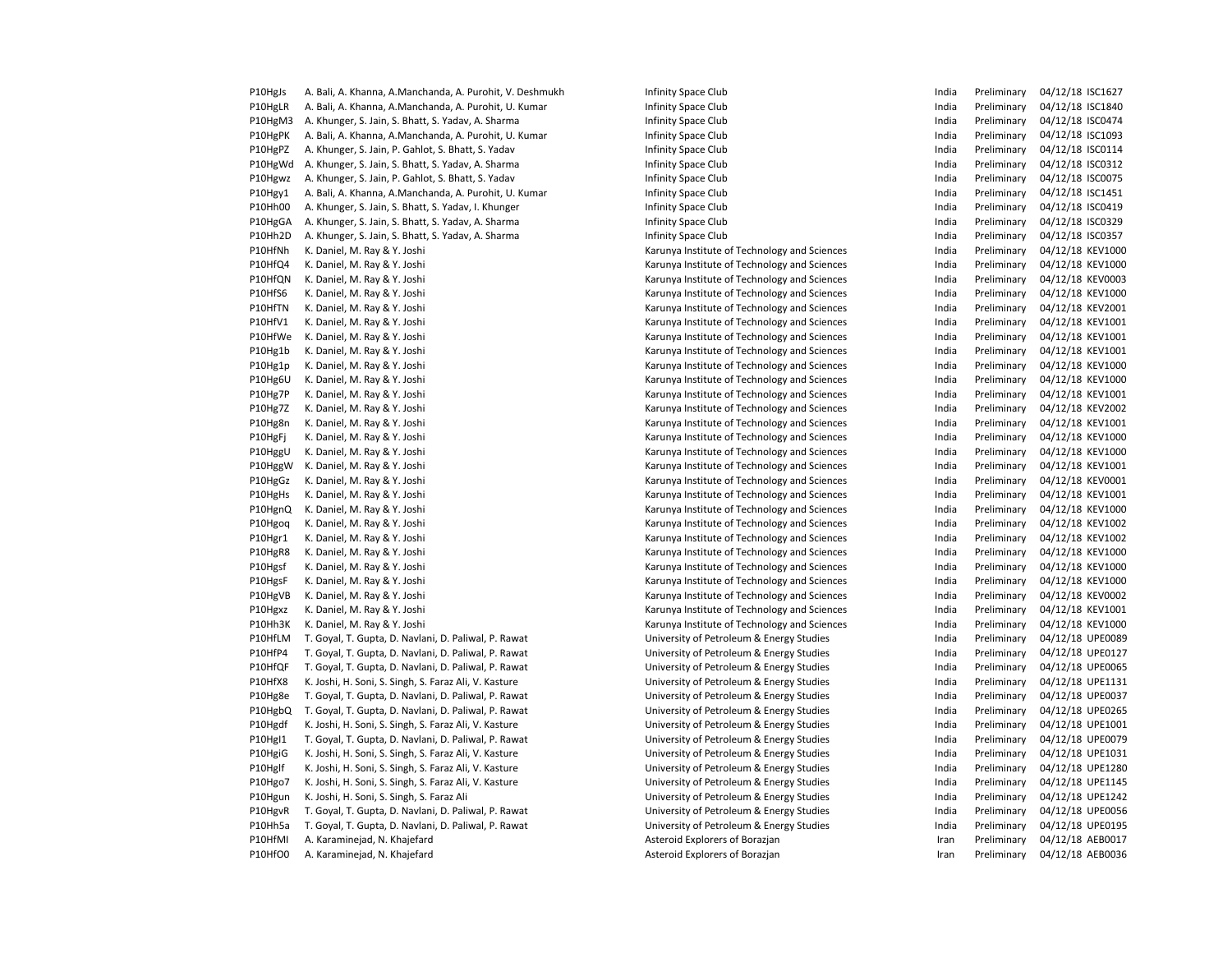| P10HgJs            | A. Bali, A. Khanna, A.Manchanda, A. Purohit, V. Deshmukh                                           | Infinity Space Club                                                                  | India | Preliminary                | 04/12/18 ISC1627                   |
|--------------------|----------------------------------------------------------------------------------------------------|--------------------------------------------------------------------------------------|-------|----------------------------|------------------------------------|
| P10HgLR            | A. Bali, A. Khanna, A.Manchanda, A. Purohit, U. Kumar                                              | Infinity Space Club                                                                  | India | Preliminary                | 04/12/18 ISC1840                   |
| P10HgM3            | A. Khunger, S. Jain, S. Bhatt, S. Yadav, A. Sharma                                                 | Infinity Space Club                                                                  | India | Preliminary                | 04/12/18 ISC0474                   |
| P10HgPK            | A. Bali, A. Khanna, A.Manchanda, A. Purohit, U. Kumar                                              | Infinity Space Club                                                                  | India | Preliminary                | 04/12/18 ISC1093                   |
| P10HgPZ            | A. Khunger, S. Jain, P. Gahlot, S. Bhatt, S. Yadav                                                 | Infinity Space Club                                                                  | India | Preliminary                | 04/12/18 ISC0114                   |
| P10HgWd            | A. Khunger, S. Jain, S. Bhatt, S. Yadav, A. Sharma                                                 | Infinity Space Club                                                                  | India | Preliminary                | 04/12/18 ISC0312                   |
| P10Hgwz            | A. Khunger, S. Jain, P. Gahlot, S. Bhatt, S. Yadav                                                 | Infinity Space Club                                                                  | India | Preliminary                | 04/12/18 ISC0075                   |
| P10Hgy1            | A. Bali, A. Khanna, A.Manchanda, A. Purohit, U. Kumar                                              | Infinity Space Club                                                                  | India | Preliminary                | 04/12/18 ISC1451                   |
| P10Hh00            | A. Khunger, S. Jain, S. Bhatt, S. Yadav, I. Khunger                                                | Infinity Space Club                                                                  | India | Preliminary                | 04/12/18 ISC0419                   |
| P10HgGA            | A. Khunger, S. Jain, S. Bhatt, S. Yadav, A. Sharma                                                 | Infinity Space Club                                                                  | India | Preliminary                | 04/12/18 ISC0329                   |
| P10Hh2D            | A. Khunger, S. Jain, S. Bhatt, S. Yadav, A. Sharma                                                 | Infinity Space Club                                                                  | India | Preliminary                | 04/12/18 ISC0357                   |
| P10HfNh            | K. Daniel, M. Ray & Y. Joshi                                                                       | Karunya Institute of Technology and Sciences                                         | India | Preliminary                | 04/12/18 KEV100                    |
| P10HfQ4            | K. Daniel, M. Ray & Y. Joshi                                                                       | Karunya Institute of Technology and Sciences                                         | India | Preliminary                | 04/12/18 KEV100                    |
| P10HfQN            | K. Daniel, M. Ray & Y. Joshi                                                                       | Karunya Institute of Technology and Sciences                                         | India | Preliminary                | 04/12/18 KEV000                    |
| P10HfS6            | K. Daniel, M. Ray & Y. Joshi                                                                       | Karunya Institute of Technology and Sciences                                         | India | Preliminary                | 04/12/18 KEV100                    |
| P10HfTN            | K. Daniel, M. Ray & Y. Joshi                                                                       | Karunya Institute of Technology and Sciences                                         | India | Preliminary                | 04/12/18 KEV200                    |
| P10HfV1            | K. Daniel, M. Ray & Y. Joshi                                                                       | Karunya Institute of Technology and Sciences                                         | India | Preliminary                | 04/12/18 KEV100                    |
| P10HfWe            | K. Daniel, M. Ray & Y. Joshi                                                                       | Karunya Institute of Technology and Sciences                                         | India | Preliminary                | 04/12/18 KEV100                    |
| P10Hg1b            | K. Daniel, M. Ray & Y. Joshi                                                                       | Karunya Institute of Technology and Sciences                                         | India | Preliminary                | 04/12/18 KEV100                    |
| P10Hg1p            | K. Daniel, M. Ray & Y. Joshi                                                                       | Karunya Institute of Technology and Sciences                                         | India | Preliminary                | 04/12/18 KEV100                    |
| P10Hg6U            | K. Daniel, M. Ray & Y. Joshi                                                                       | Karunya Institute of Technology and Sciences                                         | India | Preliminary                | 04/12/18 KEV100                    |
| P10Hg7P            | K. Daniel, M. Ray & Y. Joshi                                                                       | Karunya Institute of Technology and Sciences                                         | India | Preliminary                | 04/12/18 KEV100                    |
| P10Hg7Z            | K. Daniel, M. Ray & Y. Joshi                                                                       | Karunya Institute of Technology and Sciences                                         | India | Preliminary                | 04/12/18 KEV200                    |
| P10Hg8n            | K. Daniel, M. Ray & Y. Joshi                                                                       | Karunya Institute of Technology and Sciences                                         | India | Preliminary                | 04/12/18 KEV100                    |
| P10HgFj            | K. Daniel, M. Ray & Y. Joshi                                                                       | Karunya Institute of Technology and Sciences                                         | India | Preliminary                | 04/12/18 KEV100                    |
| P10HggU            | K. Daniel, M. Ray & Y. Joshi                                                                       | Karunya Institute of Technology and Sciences                                         | India | Preliminary                | 04/12/18 KEV100                    |
| P10HggW            | K. Daniel, M. Ray & Y. Joshi                                                                       | Karunya Institute of Technology and Sciences                                         | India | Preliminary                | 04/12/18 KEV100                    |
| P10HgGz            | K. Daniel, M. Ray & Y. Joshi                                                                       | Karunya Institute of Technology and Sciences                                         | India | Preliminary                | 04/12/18 KEV000                    |
| P10HgHs            | K. Daniel, M. Ray & Y. Joshi                                                                       | Karunya Institute of Technology and Sciences                                         | India | Preliminary                | 04/12/18 KEV100                    |
| P10HgnQ            | K. Daniel, M. Ray & Y. Joshi                                                                       | Karunya Institute of Technology and Sciences                                         | India | Preliminary                | 04/12/18 KEV100                    |
| P10Hgog            | K. Daniel, M. Ray & Y. Joshi                                                                       | Karunya Institute of Technology and Sciences                                         | India | Preliminary                | 04/12/18 KEV100                    |
| P10Hgr1            | K. Daniel, M. Ray & Y. Joshi                                                                       | Karunya Institute of Technology and Sciences                                         | India | Preliminary                | 04/12/18 KEV100                    |
| P10HgR8            | K. Daniel, M. Ray & Y. Joshi                                                                       | Karunya Institute of Technology and Sciences                                         | India | Preliminary                | 04/12/18 KEV100                    |
| P10Hgsf            | K. Daniel, M. Ray & Y. Joshi                                                                       | Karunya Institute of Technology and Sciences                                         | India | Preliminary                | 04/12/18 KEV100                    |
| P10HgsF            | K. Daniel, M. Ray & Y. Joshi                                                                       | Karunya Institute of Technology and Sciences                                         | India | Preliminary                | 04/12/18 KEV100                    |
| P10HgVB            | K. Daniel, M. Ray & Y. Joshi                                                                       | Karunya Institute of Technology and Sciences                                         | India | Preliminary                | 04/12/18 KEV000                    |
| P10Hgxz            | K. Daniel, M. Ray & Y. Joshi                                                                       | Karunya Institute of Technology and Sciences                                         | India | Preliminary                | 04/12/18 KEV100                    |
| P10Hh3K            | K. Daniel, M. Ray & Y. Joshi                                                                       | Karunya Institute of Technology and Sciences                                         | India | Preliminary                | 04/12/18 KEV100                    |
| P10HfLM            | T. Goyal, T. Gupta, D. Navlani, D. Paliwal, P. Rawat                                               | University of Petroleum & Energy Studies                                             | India | Preliminary                | 04/12/18 UPE008                    |
| P10HfP4            | T. Goyal, T. Gupta, D. Navlani, D. Paliwal, P. Rawat                                               | University of Petroleum & Energy Studies                                             | India | Preliminary                | 04/12/18 UPE012                    |
| P10HfQF            | T. Goyal, T. Gupta, D. Navlani, D. Paliwal, P. Rawat                                               | University of Petroleum & Energy Studies                                             | India | Preliminary                | 04/12/18 UPE006                    |
| P10HfX8            | K. Joshi, H. Soni, S. Singh, S. Faraz Ali, V. Kasture                                              | University of Petroleum & Energy Studies                                             | India | Preliminary                | 04/12/18 UPE113                    |
| P10Hg8e            | T. Goyal, T. Gupta, D. Navlani, D. Paliwal, P. Rawat                                               | University of Petroleum & Energy Studies                                             | India | Preliminary                | 04/12/18 UPE003                    |
| P10HgbQ            | T. Goyal, T. Gupta, D. Navlani, D. Paliwal, P. Rawat                                               | University of Petroleum & Energy Studies                                             | India | Preliminary                | 04/12/18 UPE026                    |
| P10Hgdf            | K. Joshi, H. Soni, S. Singh, S. Faraz Ali, V. Kasture                                              | University of Petroleum & Energy Studies                                             | India | Preliminary                | 04/12/18 UPE100                    |
| P10HgI1            | T. Goyal, T. Gupta, D. Navlani, D. Paliwal, P. Rawat                                               | University of Petroleum & Energy Studies                                             | India | Preliminary                | 04/12/18 UPE007                    |
| P10HgiG            | K. Joshi, H. Soni, S. Singh, S. Faraz Ali, V. Kasture                                              | University of Petroleum & Energy Studies                                             | India | Preliminary                | 04/12/18 UPE103                    |
| P10Hglf            | K. Joshi, H. Soni, S. Singh, S. Faraz Ali, V. Kasture                                              | University of Petroleum & Energy Studies                                             | India | Preliminary                | 04/12/18 UPE128                    |
|                    |                                                                                                    |                                                                                      | India |                            |                                    |
| P10Hgo7<br>P10Hgun | K. Joshi, H. Soni, S. Singh, S. Faraz Ali, V. Kasture<br>K. Joshi, H. Soni, S. Singh, S. Faraz Ali | University of Petroleum & Energy Studies<br>University of Petroleum & Energy Studies | India | Preliminary<br>Preliminary | 04/12/18 UPE114<br>04/12/18 UPE124 |
| P10HgvR            | T. Goyal, T. Gupta, D. Navlani, D. Paliwal, P. Rawat                                               | University of Petroleum & Energy Studies                                             | India | Preliminary                | 04/12/18 UPE005                    |
| P10Hh5a            | T. Goyal, T. Gupta, D. Navlani, D. Paliwal, P. Rawat                                               | University of Petroleum & Energy Studies                                             | India | Preliminary                | 04/12/18 UPE019                    |
| P10HfMI            | A. Karaminejad, N. Khajefard                                                                       | Asteroid Explorers of Borazjan                                                       | Iran  | Preliminary                | 04/12/18 AEB001                    |
| P10HfO0            | A. Karaminejad, N. Khajefard                                                                       | Asteroid Explorers of Borazjan                                                       | Iran  | Preliminary                | 04/12/18 AEB003                    |
|                    |                                                                                                    |                                                                                      |       |                            |                                    |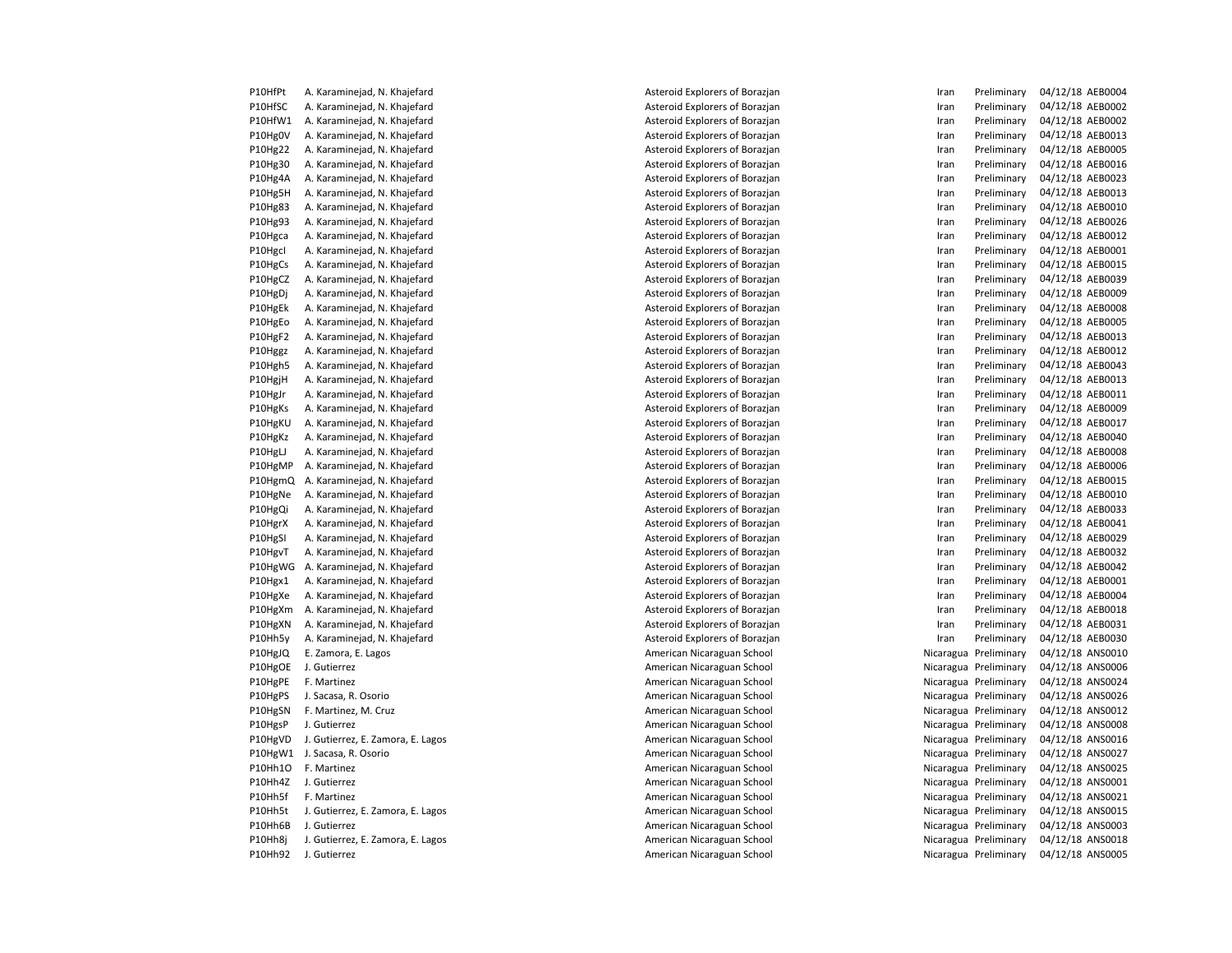| P10HfPt | A. Karaminejad, N. Khajefard      |
|---------|-----------------------------------|
| P10HfSC | A. Karaminejad, N. Khajefard      |
| P10HfW1 | A. Karaminejad, N. Khajefard      |
| P10Hg0V | A. Karaminejad, N. Khajefard      |
| P10Hg22 | A. Karaminejad, N. Khajefard      |
| P10Hg30 | A. Karaminejad, N. Khajefard      |
| P10Hg4A | A. Karaminejad, N. Khajefard      |
| P10Hg5H | A. Karaminejad, N. Khajefard      |
| P10Hg83 | A. Karaminejad, N. Khajefard      |
| P10Hg93 | A. Karaminejad, N. Khajefard      |
| P10Hgca | A. Karaminejad, N. Khajefard      |
| P10Hgcl | A. Karaminejad, N. Khajefard      |
| P10HgCs | A. Karaminejad, N. Khajefard      |
| P10HgCZ | A. Karaminejad, N. Khajefard      |
| P10HgDj | A. Karaminejad, N. Khajefard      |
| P10HgEk | A. Karaminejad, N. Khajefard      |
| P10HgEo | A. Karaminejad, N. Khajefard      |
| P10HgF2 | A. Karaminejad, N. Khajefard      |
| P10Hggz | A. Karaminejad, N. Khajefard      |
| P10Hgh5 | A. Karaminejad, N. Khajefard      |
| P10HgjH | A. Karaminejad, N. Khajefard      |
| P10HgJr | A. Karaminejad, N. Khajefard      |
| P10HgKs | A. Karaminejad, N. Khajefard      |
| P10HgKU | A. Karaminejad, N. Khajefard      |
| P10HgKz | A. Karaminejad, N. Khajefard      |
| P10HgLJ | A. Karaminejad, N. Khajefard      |
| P10HgMP | A. Karaminejad, N. Khajefard      |
| P10HgmQ | A. Karaminejad, N. Khajefard      |
| P10HgNe | A. Karaminejad, N. Khajefard      |
| P10HgQi | A. Karaminejad, N. Khajefard      |
| P10HgrX | A. Karaminejad, N. Khajefard      |
| P10HgSI | A. Karaminejad, N. Khajefard      |
| P10HgvT | A. Karaminejad, N. Khajefard      |
| P10HgWG | A. Karaminejad, N. Khajefard      |
| P10Hgx1 | A. Karaminejad, N. Khajefard      |
| P10HgXe | A. Karaminejad, N. Khajefard      |
| P10HgXm | A. Karaminejad, N. Khajefard      |
| P10HgXN | A. Karaminejad, N. Khajefard      |
| P10Hh5y | A. Karaminejad, N. Khajefard      |
| P10HgJQ | E. Zamora, E. Lagos               |
| P10HgOE | J. Gutierrez                      |
| P10HgPE | F. Martinez                       |
| P10HgPS | J. Sacasa, R. Osorio              |
| P10HgSN | F. Martinez, M. Cruz              |
| P10HgsP | J. Gutierrez                      |
| P10HgVD | J. Gutierrez, E. Zamora, E. Lagos |
| P10HgW1 | J. Sacasa, R. Osorio              |
| P10Hh1O | F. Martinez                       |
| P10Hh4Z | J. Gutierrez                      |
| P10Hh5f | F. Martinez                       |
| P10Hh5t | J. Gutierrez, E. Zamora, E. Lagos |
| P10Hh6B | J. Gutierrez                      |
| P10Hh8j | J. Gutierrez, E. Zamora, E. Lagos |
| P10Hh92 | I Gutierrez                       |

P10HfPt A. Karaminejad, N. Khajefard Asteroid Explorers of Borazjan Iran Preliminary 04/12/18 AEB0004 Asteroid Explorers of Borazjan Asteroid Explorers of Borazjan Asteroid Explorers of Borazjan Asteroid Explorers of Borazjan Asteroid Explorers of Borazjan Asteroid Explorers of Borazjan Asteroid Explorers of Borazjan Asteroid Explorers of Borazjan Asteroid Explorers of Borazjan Asteroid Explorers of Borazjan Asteroid Explorers of Borazjan Asteroid Explorers of Borazjan Asteroid Explorers of Borazjan Asteroid Explorers of Borazjan Asteroid Explorers of Borazjan Asteroid Explorers of Borazjan Asteroid Explorers of Borazjan Asteroid Explorers of Borazjan Asteroid Explorers of Borazjan Asteroid Explorers of Borazjan Asteroid Explorers of Borazjan Asteroid Explorers of Borazjan Asteroid Explorers of Borazjan Asteroid Explorers of Borazjan Asteroid Explorers of Borazjan Asteroid Explorers of Borazjan Asteroid Explorers of Borazjan Asteroid Explorers of Borazjan Asteroid Explorers of Borazjan Asteroid Explorers of Borazjan Asteroid Explorers of Borazjan Asteroid Explorers of Borazjan Asteroid Explorers of Borazjan Asteroid Explorers of Borazjan Asteroid Explorers of Borazjan Asteroid Explorers of Borazjan Asteroid Explorers of Borazjan Asteroid Explorers of Borazjan American Nicaraguan School Nicaragua Preliminary 04/12/18 American Preliminary 04/12 American Nicaraguan School Nicaragua Preliminary 04/12/18 American Preliminary 04/12 American Nicaraguan School Nicaragua Preliminary 04/12/18 American Nicaragua Preliminary 04/12/18 AN American Nicaraguan School Nicaragua Preliminary 04/12/18 American Nicaragua Preliminary 04/12/18 American Nicaraguan School Nicaragua Preliminary 04/12/18 American Preliminary 04/12 American Nicaraguan School Nicaragua Preliminary 04/12/18 American Preliminary 04/12 American Nicaraguan School Nicaragua Preliminary 2012 American Nicaraguan School Nicaragua Preliminary 04/12/18 American Preliminary 04/12 **American Nicaraguan School Nicaragua Preliminary 2016** Nicaraguan School Nicaragua Preliminary 04/12/18 ANS001 American Nicaraguan School Nicaragua Preliminary 04/12/18 American Preliminary 04/12

| Asteroid Explorers of Borazjan | Iran         | Preliminary           | 04/12/18 AEB0004 |
|--------------------------------|--------------|-----------------------|------------------|
| Asteroid Explorers of Borazjan | Iran         | Preliminary           | 04/12/18 AEB0002 |
| Asteroid Explorers of Borazjan | Iran         | Preliminary           | 04/12/18 AEB0002 |
| Asteroid Explorers of Borazjan | Iran         | Preliminary           | 04/12/18 AEB0013 |
| Asteroid Explorers of Borazjan | Iran         | Preliminary           | 04/12/18 AEB0005 |
| Asteroid Explorers of Borazjan | Iran         | Preliminary           | 04/12/18 AEB0016 |
| Asteroid Explorers of Borazjan | Iran         | Preliminary           | 04/12/18 AEB0023 |
| Asteroid Explorers of Borazjan | Iran         | Preliminary           | 04/12/18 AEB0013 |
| Asteroid Explorers of Borazjan | Iran         | Preliminary           | 04/12/18 AEB0010 |
| Asteroid Explorers of Borazjan | Iran         | Preliminary           | 04/12/18 AEB0026 |
| Asteroid Explorers of Borazjan | Iran         | Preliminary           | 04/12/18 AEB0012 |
| Asteroid Explorers of Borazjan | Iran         | Preliminary           | 04/12/18 AEB0001 |
| Asteroid Explorers of Borazjan | Iran         | Preliminary           | 04/12/18 AEB0015 |
| Asteroid Explorers of Borazjan | Iran         | Preliminary           | 04/12/18 AEB0039 |
| Asteroid Explorers of Borazjan | Iran         | Preliminary           | 04/12/18 AEB0009 |
| Asteroid Explorers of Borazjan | Iran         | Preliminary           | 04/12/18 AEB0008 |
| Asteroid Explorers of Borazjan | Iran         | Preliminary           | 04/12/18 AEB0005 |
| Asteroid Explorers of Borazjan | Iran         | Preliminary           | 04/12/18 AEB0013 |
| Asteroid Explorers of Borazjan | Iran         | Preliminary           | 04/12/18 AEB0012 |
| Asteroid Explorers of Borazjan | Iran         | Preliminary           | 04/12/18 AEB0043 |
| Asteroid Explorers of Borazjan | Iran         | Preliminary           | 04/12/18 AEB0013 |
| Asteroid Explorers of Borazjan | Iran         | Preliminary           | 04/12/18 AEB0011 |
| Asteroid Explorers of Borazjan | Iran         | Preliminary           | 04/12/18 AEB0009 |
| Asteroid Explorers of Borazjan | Iran         | Preliminary           | 04/12/18 AEB0017 |
| Asteroid Explorers of Borazjan | Iran         | Preliminary           | 04/12/18 AEB0040 |
| Asteroid Explorers of Borazjan | Iran         | Preliminary           | 04/12/18 AEB0008 |
| Asteroid Explorers of Borazjan | Iran         | Preliminary           | 04/12/18 AEB0006 |
| Asteroid Explorers of Borazjan | Iran         | Preliminary           | 04/12/18 AEB0015 |
| Asteroid Explorers of Borazjan | Iran         | Preliminary           | 04/12/18 AEB0010 |
|                                | Iran         | Preliminary           | 04/12/18 AEB0033 |
| Asteroid Explorers of Borazjan |              |                       |                  |
| Asteroid Explorers of Borazjan | Iran<br>Iran | Preliminary           | 04/12/18 AEB0041 |
| Asteroid Explorers of Borazjan |              | Preliminary           | 04/12/18 AEB0029 |
| Asteroid Explorers of Borazjan | Iran<br>Iran | Preliminary           | 04/12/18 AEB0032 |
| Asteroid Explorers of Borazjan |              | Preliminary           | 04/12/18 AEB0042 |
| Asteroid Explorers of Borazjan | Iran         | Preliminary           | 04/12/18 AEB0001 |
| Asteroid Explorers of Borazjan | Iran         | Preliminary           | 04/12/18 AEB0004 |
| Asteroid Explorers of Borazjan | Iran         | Preliminary           | 04/12/18 AEB0018 |
| Asteroid Explorers of Borazjan | Iran         | Preliminary           | 04/12/18 AEB0031 |
| Asteroid Explorers of Borazjan | Iran         | Preliminary           | 04/12/18 AEB0030 |
| American Nicaraguan School     |              | Nicaragua Preliminary | 04/12/18 ANS0010 |
| American Nicaraguan School     |              | Nicaragua Preliminary | 04/12/18 ANS0006 |
| American Nicaraguan School     |              | Nicaragua Preliminary | 04/12/18 ANS0024 |
| American Nicaraguan School     |              | Nicaragua Preliminary | 04/12/18 ANS0026 |
| American Nicaraguan School     |              | Nicaragua Preliminary | 04/12/18 ANS0012 |
| American Nicaraguan School     |              | Nicaragua Preliminary | 04/12/18 ANS0008 |
| American Nicaraguan School     |              | Nicaragua Preliminary | 04/12/18 ANS0016 |
| American Nicaraguan School     |              | Nicaragua Preliminary | 04/12/18 ANS0027 |
| American Nicaraguan School     |              | Nicaragua Preliminary | 04/12/18 ANS0025 |
| American Nicaraguan School     |              | Nicaragua Preliminary | 04/12/18 ANS0001 |
| American Nicaraguan School     |              | Nicaragua Preliminary | 04/12/18 ANS0021 |
| American Nicaraguan School     |              | Nicaragua Preliminary | 04/12/18 ANS0015 |
| American Nicaraguan School     |              | Nicaragua Preliminary | 04/12/18 ANS0003 |
| American Nicaraguan School     |              | Nicaragua Preliminary | 04/12/18 ANS0018 |
| American Nicaraguan School     |              | Nicaragua Preliminary | 04/12/18 ANS0005 |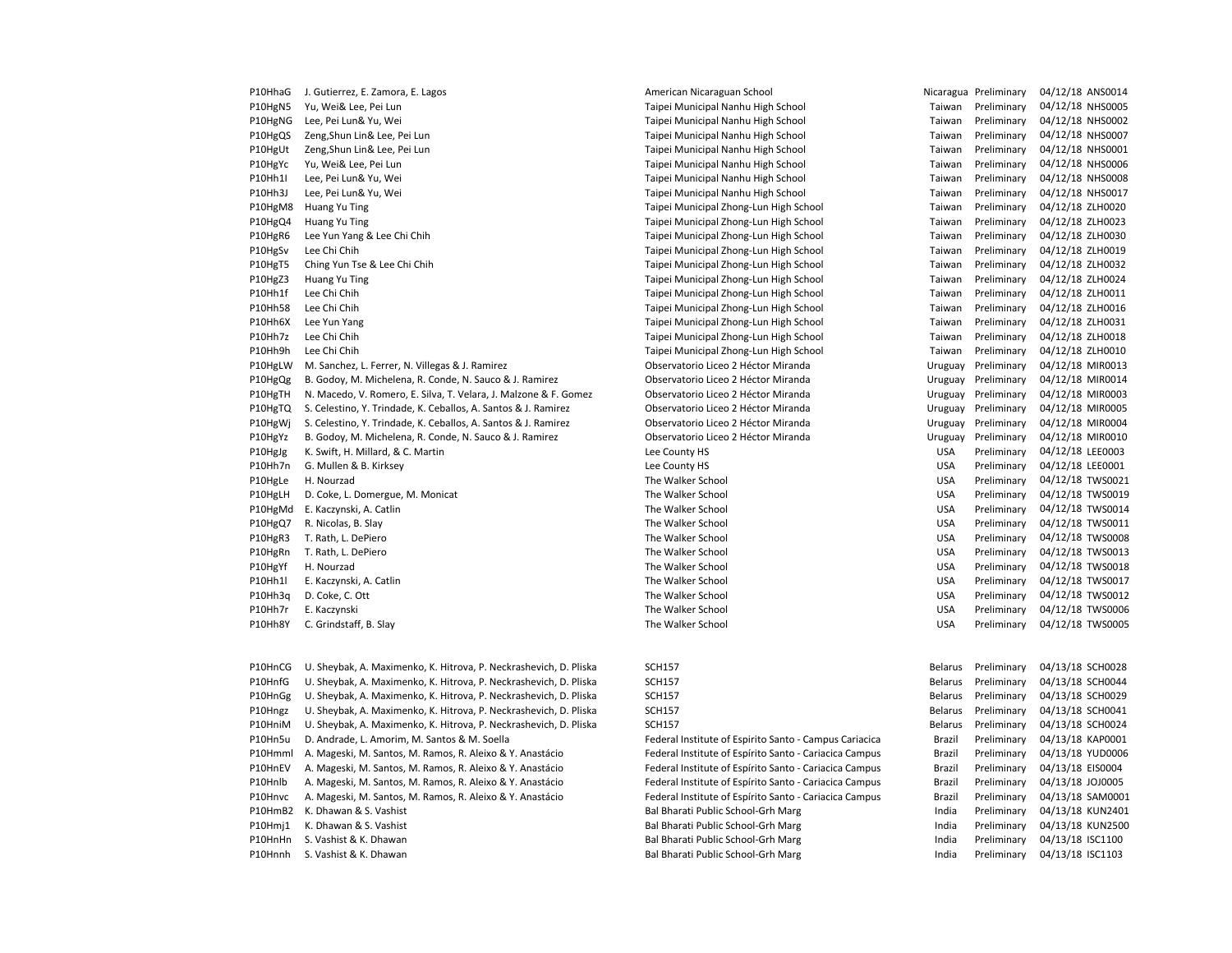| P10HhaG | J. Gutierrez, E. Zamora, E. Lagos                                | American Nicaraguan School             |            | Nicaragua Preliminary | 04/12/18 ANS0014 |
|---------|------------------------------------------------------------------|----------------------------------------|------------|-----------------------|------------------|
| P10HgN5 | Yu, Wei& Lee, Pei Lun                                            | Taipei Municipal Nanhu High School     | Taiwan     | Preliminary           | 04/12/18 NHS0005 |
| P10HgNG | Lee, Pei Lun& Yu, Wei                                            | Taipei Municipal Nanhu High School     | Taiwan     | Preliminary           | 04/12/18 NHS0002 |
| P10HgQS | Zeng, Shun Lin& Lee, Pei Lun                                     | Taipei Municipal Nanhu High School     | Taiwan     | Preliminary           | 04/12/18 NHS0007 |
| P10HgUt | Zeng, Shun Lin& Lee, Pei Lun                                     | Taipei Municipal Nanhu High School     | Taiwan     | Preliminary           | 04/12/18 NHS0001 |
| P10HgYc | Yu, Wei& Lee, Pei Lun                                            | Taipei Municipal Nanhu High School     | Taiwan     | Preliminary           | 04/12/18 NHS0006 |
| P10Hh1I | Lee, Pei Lun& Yu, Wei                                            | Taipei Municipal Nanhu High School     | Taiwan     | Preliminary           | 04/12/18 NHS0008 |
| P10Hh3J | Lee, Pei Lun& Yu, Wei                                            | Taipei Municipal Nanhu High School     | Taiwan     | Preliminary           | 04/12/18 NHS0017 |
| P10HgM8 | Huang Yu Ting                                                    | Taipei Municipal Zhong-Lun High School | Taiwan     | Preliminary           | 04/12/18 ZLH0020 |
| P10HgQ4 | Huang Yu Ting                                                    | Taipei Municipal Zhong-Lun High School | Taiwan     | Preliminary           | 04/12/18 ZLH0023 |
| P10HgR6 | Lee Yun Yang & Lee Chi Chih                                      | Taipei Municipal Zhong-Lun High School | Taiwan     | Preliminary           | 04/12/18 ZLH0030 |
| P10HgSv | Lee Chi Chih                                                     | Taipei Municipal Zhong-Lun High School | Taiwan     | Preliminary           | 04/12/18 ZLH0019 |
| P10HgT5 | Ching Yun Tse & Lee Chi Chih                                     | Taipei Municipal Zhong-Lun High School | Taiwan     | Preliminary           | 04/12/18 ZLH0032 |
| P10HgZ3 | Huang Yu Ting                                                    | Taipei Municipal Zhong-Lun High School | Taiwan     | Preliminary           | 04/12/18 ZLH0024 |
| P10Hh1f | Lee Chi Chih                                                     | Taipei Municipal Zhong-Lun High School | Taiwan     | Preliminary           | 04/12/18 ZLH0011 |
| P10Hh58 | Lee Chi Chih                                                     | Taipei Municipal Zhong-Lun High School | Taiwan     | Preliminary           | 04/12/18 ZLH0016 |
| P10Hh6X | Lee Yun Yang                                                     | Taipei Municipal Zhong-Lun High School | Taiwan     | Preliminary           | 04/12/18 ZLH0031 |
| P10Hh7z | Lee Chi Chih                                                     | Taipei Municipal Zhong-Lun High School | Taiwan     | Preliminary           | 04/12/18 ZLH0018 |
| P10Hh9h | Lee Chi Chih                                                     | Taipei Municipal Zhong-Lun High School | Taiwan     | Preliminary           | 04/12/18 ZLH0010 |
| P10HgLW | M. Sanchez, L. Ferrer, N. Villegas & J. Ramirez                  | Observatorio Liceo 2 Héctor Miranda    | Uruguay    | Preliminary           | 04/12/18 MIR0013 |
| P10HgQg | B. Godoy, M. Michelena, R. Conde, N. Sauco & J. Ramirez          | Observatorio Liceo 2 Héctor Miranda    | Uruguay    | Preliminary           | 04/12/18 MIR0014 |
| P10HgTH | N. Macedo, V. Romero, E. Silva, T. Velara, J. Malzone & F. Gomez | Observatorio Liceo 2 Héctor Miranda    | Uruguay    | Preliminary           | 04/12/18 MIR0003 |
| P10HgTQ | S. Celestino, Y. Trindade, K. Ceballos, A. Santos & J. Ramirez   | Observatorio Liceo 2 Héctor Miranda    | Uruguay    | Preliminary           | 04/12/18 MIR0005 |
| P10HgWj | S. Celestino, Y. Trindade, K. Ceballos, A. Santos & J. Ramirez   | Observatorio Liceo 2 Héctor Miranda    | Uruguay    | Preliminary           | 04/12/18 MIR0004 |
| P10HgYz | B. Godoy, M. Michelena, R. Conde, N. Sauco & J. Ramirez          | Observatorio Liceo 2 Héctor Miranda    | Uruguay    | Preliminary           | 04/12/18 MIR0010 |
| P10HgJg | K. Swift, H. Millard, & C. Martin                                | Lee County HS                          | <b>USA</b> | Preliminary           | 04/12/18 LEE0003 |
| P10Hh7n | G. Mullen & B. Kirksey                                           | Lee County HS                          | <b>USA</b> | Preliminary           | 04/12/18 LEE0001 |
| P10HgLe | H. Nourzad                                                       | The Walker School                      | <b>USA</b> | Preliminary           | 04/12/18 TWS0021 |
| P10HgLH | D. Coke, L. Domergue, M. Monicat                                 | The Walker School                      | <b>USA</b> | Preliminary           | 04/12/18 TWS0019 |
| P10HgMd | E. Kaczynski, A. Catlin                                          | The Walker School                      | <b>USA</b> | Preliminary           | 04/12/18 TWS0014 |
| P10HgQ7 | R. Nicolas, B. Slay                                              | The Walker School                      | <b>USA</b> | Preliminary           | 04/12/18 TWS0011 |
| P10HgR3 | T. Rath, L. DePiero                                              | The Walker School                      | <b>USA</b> | Preliminary           | 04/12/18 TWS0008 |
| P10HgRn | T. Rath, L. DePiero                                              | The Walker School                      | <b>USA</b> | Preliminary           | 04/12/18 TWS0013 |
| P10HgYf | H. Nourzad                                                       | The Walker School                      | <b>USA</b> | Preliminary           | 04/12/18 TWS0018 |
| P10Hh1  | E. Kaczynski, A. Catlin                                          | The Walker School                      | <b>USA</b> | Preliminary           | 04/12/18 TWS0017 |
| P10Hh3a | D. Coke, C. Ott                                                  | The Walker School                      | <b>USA</b> | Preliminary           | 04/12/18 TWS0012 |
| P10Hh7r | E. Kaczynski                                                     | The Walker School                      | <b>USA</b> | Preliminary           | 04/12/18 TWS0006 |
|         |                                                                  |                                        |            |                       |                  |

P10HhaG J. Gutierrez, E. Zamora, E. Lagos American Nicaraguan School Nicaragua Preliminary 04/12/18 ANS0014 Taipei Municipal Nanhu High School **Taiwan** Preliminary 04/12/18 NHS0005 Taipei Municipal Nanhu High School Taiwan Preliminary 04/12/18 NHS0002 Taipei Municipal Nanhu High School **Taiwan Preliminary 04/12/18 NHS0007** P10HgUt Zeng,Shun Lin& Lee, Pei Lun Taipei Municipal Nanhu High School Taiwan Preliminary 04/12/18 NHS0001 Taipei Municipal Nanhu High School Taiwan Preliminary 04/12/18 NHS0006 Taipei Municipal Nanhu High School Taiwan Preliminary 04/12/18 NHS0008 Taipei Municipal Nanhu High School **Taiwan** Preliminary 04/12/18 NHS0017 P10HgM8 Huang Yu Ting Taipei Municipal Zhong-Lun High School Taiwan Preliminary 04/12/18 ZLH0020 P10HgQ4 Huang Yu Ting Taipei Municipal Zhong-Lun High School Taiwan Preliminary 04/12/18 ZLH0023 P10HgR6 Lee Yun Yang & Lee Chi Chih Taipei Municipal Zhong-Lun High School Taiwan Preliminary 04/12/18 ZLH0030 P10HgSv Lee Chi Chih Taipei Municipal Zhong-Lun High School Taiwan Preliminary 04/12/18 ZLH0019 Taipei Municipal Zhong-Lun High School Taiwan Preliminary 04/12/18 ZLH0032 P10HgZ3 Huang Yu Ting Taipei Municipal Zhong-Lun High School Taiwan Preliminary 04/12/18 ZLH0024 Taipei Municipal Zhong-Lun High School Taiwan Preliminary 04/12/18 ZLH0011 P10Hh58 Lee Chi Chih Taipei Municipal Zhong-Lun High School Taiwan Preliminary 04/12/18 ZLH0016 P10Hh6X Lee Yun Yang Taipei Municipal Zhong-Lun High School Taiwan Preliminary 04/12/18 ZLH0031 Taipei Municipal Zhong-Lun High School Taiwan Preliminary 04/12/18 ZLH0018 P10Hh9h Lee Chi Chih Taipei Municipal Zhong-Lun High School Taiwan Preliminary 04/12/18 ZLH0010 Observatorio Liceo 2 Héctor Miranda **M. Sanchez, L. Ramirez C. A. B. A. A. A. A. A. A.** B. R. R. R. R. R. R. D. D Observatorio Liceo 2 Héctor Miranda **M. Sauco B. Conde, N. Sauco A. Conde, N. Sauco 2 Hector Miranda Uruguay Preliminary 04/12/18 MIR0014** P10HgTH N. Macedo, V. Romero, E. Silva, T. Velara, J. Malzone & F. Gomez Observatorio Liceo 2 Héctor Miranda Uruguay Preliminary 04/12/18 MIR0003 Observatorio Liceo 2 Héctor Miranda **M. A. Santos A. Santos A. Santos A. Santos A. Santos A. Santos A. Santos A. Santos A. Santos A. Santos A. Santos A. Santos A. Santos A. Santos A. Santos A. Santos A. Santos A. Santos A.** Observatorio Liceo 2 Héctor Miranda<br>
Uruguay Preliminary 04/12/18 MIR0004 Observatorio Liceo 2 Héctor Miranda **M. A. Condettera, R. A. Conde, N. Sauco 2 Hector Miranda** Uruguay Preliminary 04/12/18 MIR0010 P10Hh8Y C. Grindstaff, B. Slay Samuel Compared the Walker School The Walker School Compared The Walker School Compared the USA Preliminary 04/12/18 TWS0005 Pederal Institute of Espirito Santo - Campus Cariacica Brazil Preliminary 04/13/18 KAP0001 Federal Institute of Espírito Santo - Cariacica Campus Brazil Preliminary 04/13/18 YUD0006 Pederal Institute of Espírito Santo - Cariacica Campus Brazil Preliminary 04/13/18 EIS0004 Pederal Institute of Espírito Santo - Cariacica Campus Brazil Preliminary 04/13/18 JOJ0005 Pederal Institute of Espírito Santo - Cariacica Campus Brazil Preliminary 04/13/18 SAM0001 Bal Bharati Public School-Grh Marg **India Breliminary 04/13/18 KUN2401** Bal Bharati Public School-Grh Marg **India** Preliminary 04/13/18 KUN2500 Bal Bharati Public School-Grh Marg **India Preliminary 04/13/18 ISC1100** 

| P10HnCG | U. Sheybak, A. Maximenko, K. Hitrova, P. Neckrashevich, D. Pliska | <b>SCH157</b>                                          | Belarus | Preliminary | 04/13/18 SCH0028 |
|---------|-------------------------------------------------------------------|--------------------------------------------------------|---------|-------------|------------------|
| P10HnfG | U. Sheybak, A. Maximenko, K. Hitrova, P. Neckrashevich, D. Pliska | <b>SCH157</b>                                          | Belarus | Preliminary | 04/13/18 SCH0044 |
| P10HnGg | U. Sheybak, A. Maximenko, K. Hitrova, P. Neckrashevich, D. Pliska | <b>SCH157</b>                                          | Belarus | Preliminary | 04/13/18 SCH0029 |
| P10Hngz | U. Sheybak, A. Maximenko, K. Hitrova, P. Neckrashevich, D. Pliska | <b>SCH157</b>                                          | Belarus | Preliminary | 04/13/18 SCH0041 |
| P10HniM | U. Sheybak, A. Maximenko, K. Hitrova, P. Neckrashevich, D. Pliska | <b>SCH157</b>                                          | Belarus | Preliminary | 04/13/18 SCH0024 |
| P10Hn5u | D. Andrade, L. Amorim, M. Santos & M. Soella                      | Federal Institute of Espirito Santo - Campus Cariacica | Brazil  | Preliminary | 04/13/18 KAP0001 |
| P10Hmml | A. Mageski, M. Santos, M. Ramos, R. Aleixo & Y. Anastácio         | Federal Institute of Espírito Santo - Cariacica Campus | Brazil  | Preliminary | 04/13/18 YUD0006 |
| P10HnEV | A. Mageski, M. Santos, M. Ramos, R. Aleixo & Y. Anastácio         | Federal Institute of Espírito Santo - Cariacica Campus | Brazil  | Preliminary | 04/13/18 EIS0004 |
| P10Hnlb | A. Mageski, M. Santos, M. Ramos, R. Aleixo & Y. Anastácio         | Federal Institute of Espírito Santo - Cariacica Campus | Brazil  | Preliminary | 04/13/18 JOJ0005 |
| P10Hnvc | A. Mageski, M. Santos, M. Ramos, R. Aleixo & Y. Anastácio         | Federal Institute of Espírito Santo - Cariacica Campus | Brazil  | Preliminary | 04/13/18 SAM000: |
| P10HmB2 | K. Dhawan & S. Vashist                                            | Bal Bharati Public School-Grh Marg                     | India   | Preliminary | 04/13/18 KUN2401 |
| P10Hmi1 | K. Dhawan & S. Vashist                                            | Bal Bharati Public School-Grh Marg                     | India   | Preliminary | 04/13/18 KUN2500 |
| P10HnHn | S. Vashist & K. Dhawan                                            | Bal Bharati Public School-Grh Marg                     | India   | Preliminary | 04/13/18 ISC1100 |
| P10Hnnh | S. Vashist & K. Dhawan                                            | Bal Bharati Public School-Grh Marg                     | India   | Preliminary | 04/13/18 ISC1103 |